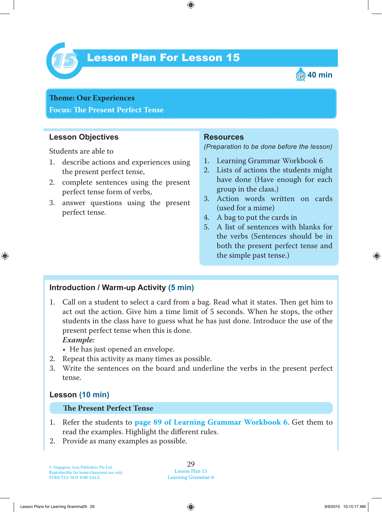

# Lesson Plan For Lesson 15 *15*



**Theme: Our Experiences Focus: Te Present Perfect Tense**

## **Lesson Objectives**

Students are able to

- 1. describe actions and experiences using the present perfect tense,
- 2. complete sentences using the present perfect tense form of verbs,
- 3. answer questions using the present perfect tense.

#### **Resources**

*(Preparation to be done before the lesson)*

- 1. Learning Grammar Workbook 6
- 2. Lists of actions the students might have done (Have enough for each group in the class.)
- 3. Action words written on cards (used for a mime)
- 4. A bag to put the cards in
- 5. A list of sentences with blanks for the verbs (Sentences should be in both the present perfect tense and the simple past tense.)

## **Introduction / Warm-up Activity (5 min)**

1. Call on a student to select a card from a bag. Read what it states. Then get him to act out the action. Give him a time limit of 5 seconds. When he stops, the other students in the class have to guess what he has just done. Introduce the use of the present perfect tense when this is done.

#### *Example:*

- He has just opened an envelope.
- 2. Repeat this activity as many times as possible.
- 3. Write the sentences on the board and underline the verbs in the present perfect tense.

#### **Lesson (10 min)**

#### **The Present Perfect Tense**

- 1 . Refer the students to **page 89 of Learning Grammar Workbook 6** . Get them to read the examples. Highlight the different rules.
- 2. Provide as many examples as possible.